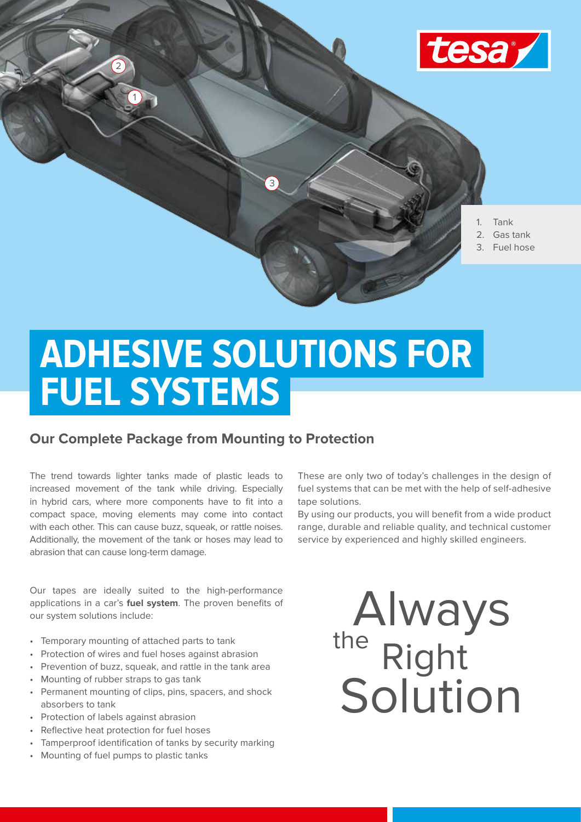

# **ADHESIVE SOLUTIONS FOR FUEL SYSTEMS**

## **Our Complete Package from Mounting to Protection**

The trend towards lighter tanks made of plastic leads to increased movement of the tank while driving. Especially in hybrid cars, where more components have to fit into a compact space, moving elements may come into contact with each other. This can cause buzz, squeak, or rattle noises. Additionally, the movement of the tank or hoses may lead to abrasion that can cause long-term damage.

Our tapes are ideally suited to the high-performance applications in a car's **fuel system**. The proven benefits of our system solutions include:

- Temporary mounting of attached parts to tank
- Protection of wires and fuel hoses against abrasion
- Prevention of buzz, squeak, and rattle in the tank area
- Mounting of rubber straps to gas tank
- Permanent mounting of clips, pins, spacers, and shock absorbers to tank
- Protection of labels against abrasion
- Reflective heat protection for fuel hoses
- Tamperproof identification of tanks by security marking
- Mounting of fuel pumps to plastic tanks

These are only two of today's challenges in the design of fuel systems that can be met with the help of self-adhesive tape solutions.

By using our products, you will benefit from a wide product range, durable and reliable quality, and technical customer service by experienced and highly skilled engineers.